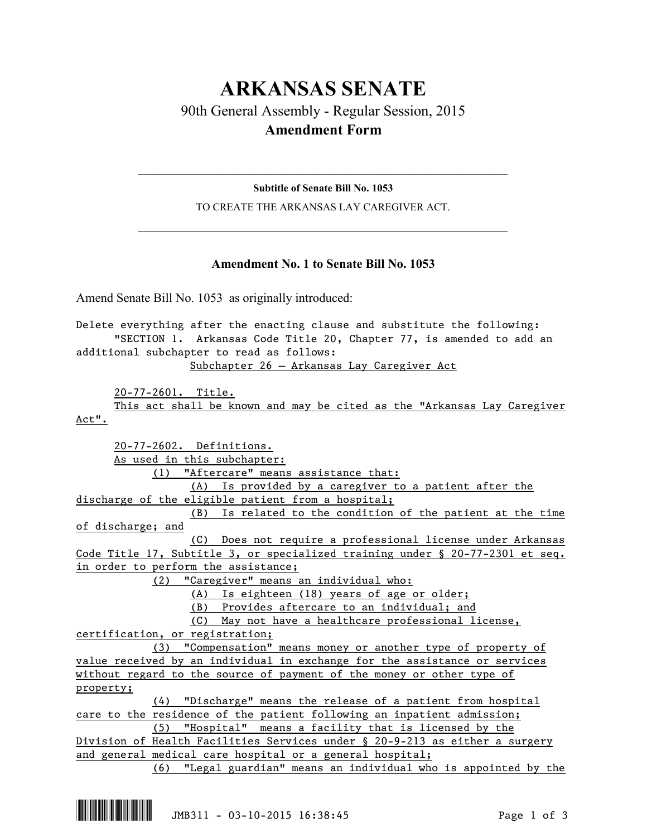## **ARKANSAS SENATE** 90th General Assembly - Regular Session, 2015 **Amendment Form**

 $\mathcal{L}_\mathcal{L} = \mathcal{L}_\mathcal{L} = \mathcal{L}_\mathcal{L} = \mathcal{L}_\mathcal{L} = \mathcal{L}_\mathcal{L} = \mathcal{L}_\mathcal{L} = \mathcal{L}_\mathcal{L} = \mathcal{L}_\mathcal{L} = \mathcal{L}_\mathcal{L} = \mathcal{L}_\mathcal{L} = \mathcal{L}_\mathcal{L} = \mathcal{L}_\mathcal{L} = \mathcal{L}_\mathcal{L} = \mathcal{L}_\mathcal{L} = \mathcal{L}_\mathcal{L} = \mathcal{L}_\mathcal{L} = \mathcal{L}_\mathcal{L}$ **Subtitle of Senate Bill No. 1053**

TO CREATE THE ARKANSAS LAY CAREGIVER ACT.  $\mathcal{L}_\mathcal{L} = \mathcal{L}_\mathcal{L} = \mathcal{L}_\mathcal{L} = \mathcal{L}_\mathcal{L} = \mathcal{L}_\mathcal{L} = \mathcal{L}_\mathcal{L} = \mathcal{L}_\mathcal{L} = \mathcal{L}_\mathcal{L} = \mathcal{L}_\mathcal{L} = \mathcal{L}_\mathcal{L} = \mathcal{L}_\mathcal{L} = \mathcal{L}_\mathcal{L} = \mathcal{L}_\mathcal{L} = \mathcal{L}_\mathcal{L} = \mathcal{L}_\mathcal{L} = \mathcal{L}_\mathcal{L} = \mathcal{L}_\mathcal{L}$ 

## **Amendment No. 1 to Senate Bill No. 1053**

Amend Senate Bill No. 1053 as originally introduced:

Delete everything after the enacting clause and substitute the following: "SECTION 1. Arkansas Code Title 20, Chapter 77, is amended to add an additional subchapter to read as follows: Subchapter 26 — Arkansas Lay Caregiver Act

20-77-2601. Title.

This act shall be known and may be cited as the "Arkansas Lay Caregiver Act".

20-77-2602. Definitions. As used in this subchapter: (1) "Aftercare" means assistance that: (A) Is provided by a caregiver to a patient after the discharge of the eligible patient from a hospital; (B) Is related to the condition of the patient at the time of discharge; and (C) Does not require a professional license under Arkansas Code Title 17, Subtitle 3, or specialized training under § 20-77-2301 et seq. in order to perform the assistance; (2) "Caregiver" means an individual who: (A) Is eighteen (18) years of age or older; (B) Provides aftercare to an individual; and (C) May not have a healthcare professional license, certification, or registration; (3) "Compensation" means money or another type of property of value received by an individual in exchange for the assistance or services without regard to the source of payment of the money or other type of property; (4) "Discharge" means the release of a patient from hospital care to the residence of the patient following an inpatient admission; (5) "Hospital" means a facility that is licensed by the Division of Health Facilities Services under § 20-9-213 as either a surgery and general medical care hospital or a general hospital;

(6) "Legal guardian" means an individual who is appointed by the

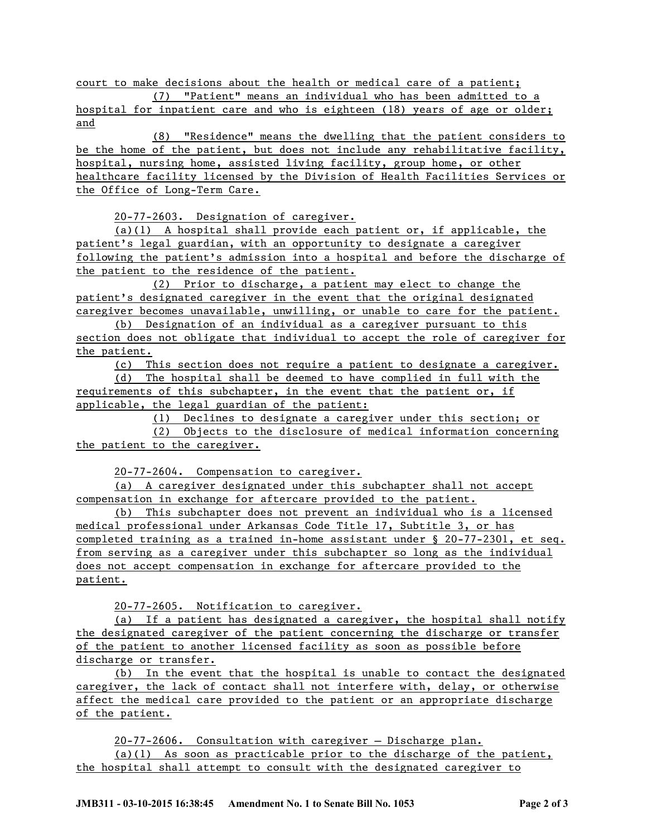court to make decisions about the health or medical care of a patient;

(7) "Patient" means an individual who has been admitted to a hospital for inpatient care and who is eighteen (18) years of age or older; and

(8) "Residence" means the dwelling that the patient considers to be the home of the patient, but does not include any rehabilitative facility, hospital, nursing home, assisted living facility, group home, or other healthcare facility licensed by the Division of Health Facilities Services or the Office of Long-Term Care.

20-77-2603. Designation of caregiver.

(a)(1) A hospital shall provide each patient or, if applicable, the patient's legal guardian, with an opportunity to designate a caregiver following the patient's admission into a hospital and before the discharge of the patient to the residence of the patient.

(2) Prior to discharge, a patient may elect to change the patient's designated caregiver in the event that the original designated caregiver becomes unavailable, unwilling, or unable to care for the patient.

(b) Designation of an individual as a caregiver pursuant to this section does not obligate that individual to accept the role of caregiver for the patient.

(c) This section does not require a patient to designate a caregiver.

(d) The hospital shall be deemed to have complied in full with the requirements of this subchapter, in the event that the patient or, if applicable, the legal guardian of the patient:

(1) Declines to designate a caregiver under this section; or

(2) Objects to the disclosure of medical information concerning the patient to the caregiver.

20-77-2604. Compensation to caregiver.

(a) A caregiver designated under this subchapter shall not accept compensation in exchange for aftercare provided to the patient.

(b) This subchapter does not prevent an individual who is a licensed medical professional under Arkansas Code Title 17, Subtitle 3, or has completed training as a trained in-home assistant under § 20-77-2301, et seq. from serving as a caregiver under this subchapter so long as the individual does not accept compensation in exchange for aftercare provided to the patient.

20-77-2605. Notification to caregiver.

(a) If a patient has designated a caregiver, the hospital shall notify the designated caregiver of the patient concerning the discharge or transfer of the patient to another licensed facility as soon as possible before discharge or transfer.

(b) In the event that the hospital is unable to contact the designated caregiver, the lack of contact shall not interfere with, delay, or otherwise affect the medical care provided to the patient or an appropriate discharge of the patient.

20-77-2606. Consultation with caregiver — Discharge plan.

(a)(1) As soon as practicable prior to the discharge of the patient, the hospital shall attempt to consult with the designated caregiver to